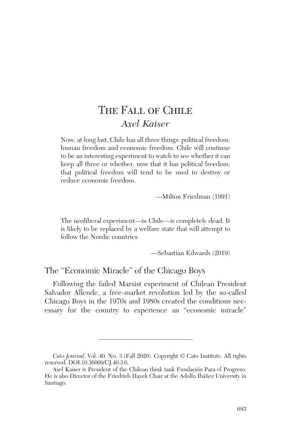# The Fall of Chile *Axel Kaiser*

Now, at long last, Chile has all three things: political freedom, human freedom and economic freedom. Chile will continue to be an interesting experiment to watch to see whether it can keep all three or whether, now that it has political freedom, that political freedom will tend to be used to destroy or reduce economic freedom.

—Milton Friedman (1991)

The neoliberal experiment—in Chile—is completely dead. It is likely to be replaced by a welfare state that will attempt to follow the Nordic countries.

—Sebastian Edwards (2019)

The "Economic Miracle" of the Chicago Boys

Following the failed Marxist experiment of Chilean President Salvador Allende, a free-market revolution led by the so-called Chicago Boys in the 1970s and 1980s created the conditions necessary for the country to experience an "economic miracle"

*Cato Journal*, Vol. 40, No. 3 (Fall 2020). Copyright © Cato Institute. All rights reserved. DOI:10.36009/CJ.40.3.6.

Axel Kaiser is President of the Chilean think tank Fundación Para el Progreso. He is also Director of the Friedrich Hayek Chair at the Adolfo Ibáñez University in Santiago.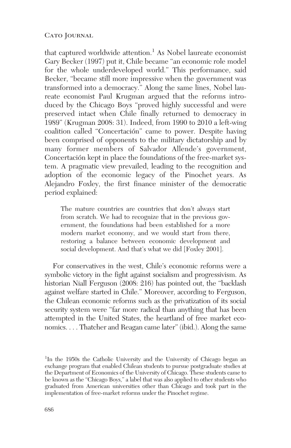that captured worldwide attention.<sup>1</sup> As Nobel laureate economist Gary Becker (1997) put it, Chile became "an economic role model for the whole underdeveloped world." This performance, said Becker, "became still more impressive when the government was transformed into a democracy." Along the same lines, Nobel laureate economist Paul Krugman argued that the reforms introduced by the Chicago Boys "proved highly successful and were preserved intact when Chile finally returned to democracy in 1989" (Krugman 2008: 31). Indeed, from 1990 to 2010 a left-wing coalition called "Concertación" came to power. Despite having been comprised of opponents to the military dictatorship and by many former members of Salvador Allende's government, Concertación kept in place the foundations of the free-market system. A pragmatic view prevailed, leading to the recognition and adoption of the economic legacy of the Pinochet years. As Alejandro Foxley, the first finance minister of the democratic period explained:

The mature countries are countries that don't always start from scratch. We had to recognize that in the previous government, the foundations had been established for a more modern market economy, and we would start from there, restoring a balance between economic development and social development. And that's what we did [Foxley 2001].

For conservatives in the west, Chile's economic reforms were a symbolic victory in the fight against socialism and progressivism. As historian Niall Ferguson (2008: 216) has pointed out, the "backlash against welfare started in Chile." Moreover, according to Ferguson, the Chilean economic reforms such as the privatization of its social security system were "far more radical than anything that has been attempted in the United States, the heartland of free market economics. . . . Thatcher and Reagan came later" (ibid.). Along the same

<sup>&</sup>lt;sup>1</sup>In the 1950s the Catholic University and the University of Chicago began an exchange program that enabled Chilean students to pursue postgraduate studies at the Department of Economics of the University of Chicago. These students came to be known as the "Chicago Boys," a label that was also applied to other students who graduated from American universities other than Chicago and took part in the implementation of free-market reforms under the Pinochet regime.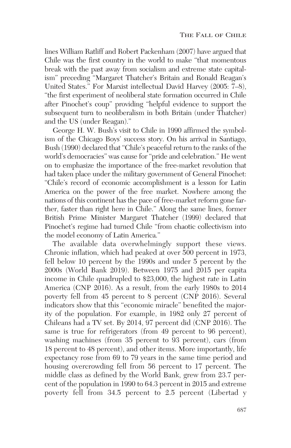lines William Ratliff and Robert Packenham (2007) have argued that Chile was the first country in the world to make "that momentous break with the past away from socialism and extreme state capitalism" preceding "Margaret Thatcher's Britain and Ronald Reagan's United States." For Marxist intellectual David Harvey (2005: 7–8), "the first experiment of neoliberal state formation occurred in Chile after Pinochet's coup" providing "helpful evidence to support the subsequent turn to neoliberalism in both Britain (under Thatcher) and the US (under Reagan)."

George H. W. Bush's visit to Chile in 1990 affirmed the symbolism of the Chicago Boys' success story. On his arrival in Santiago, Bush (1990) declared that "Chile's peaceful return to the ranks of the world's democracies" was cause for "pride and celebration." He went on to emphasize the importance of the free-market revolution that had taken place under the military government of General Pinochet: "Chile's record of economic accomplishment is a lesson for Latin America on the power of the free market. Nowhere among the nations of this continent has the pace of free-market reform gone farther, faster than right here in Chile." Along the same lines, former British Prime Minister Margaret Thatcher (1999) declared that Pinochet's regime had turned Chile "from chaotic collectivism into the model economy of Latin America."

The available data overwhelmingly support these views. Chronic inflation, which had peaked at over 500 percent in 1973, fell below 10 percent by the 1990s and under 5 percent by the 2000s (World Bank 2019). Between 1975 and 2015 per capita income in Chile quadrupled to \$23,000, the highest rate in Latin America (CNP 2016). As a result, from the early 1980s to 2014 poverty fell from 45 percent to 8 percent (CNP 2016). Several indicators show that this "economic miracle" benefited the majority of the population. For example, in 1982 only 27 percent of Chileans had a TV set. By 2014, 97 percent did (CNP 2016). The same is true for refrigerators (from 49 percent to 96 percent), washing machines (from 35 percent to 93 percent), cars (from 18 percent to 48 percent), and other items. More importantly, life expectancy rose from 69 to 79 years in the same time period and housing overcrowding fell from 56 percent to 17 percent. The middle class as defined by the World Bank, grew from 23.7 percent of the population in 1990 to 64.3 percent in 2015 and extreme poverty fell from 34.5 percent to 2.5 percent (Libertad y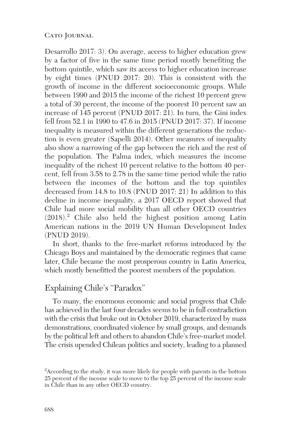Desarrollo 2017: 3). On average, access to higher education grew by a factor of five in the same time period mostly benefiting the bottom quintile, which saw its access to higher education increase by eight times (PNUD 2017: 20). This is consistent with the growth of income in the different socioeconomic groups. While between 1990 and 2015 the income of the richest 10 percent grew a total of 30 percent, the income of the poorest 10 percent saw an increase of  $145$  percent (PNUD 2017:  $2\overline{1}$ ). In turn, the Gini index fell from 52.1 in 1990 to 47.6 in 2015 (PNUD 2017: 37). If income inequality is measured within the different generations the reduction is even greater (Sapelli 2014). Other measures of inequality also show a narrowing of the gap between the rich and the rest of the population. The Palma index, which measures the income inequality of the richest 10 percent relative to the bottom 40 percent, fell from 3.58 to 2.78 in the same time period while the ratio between the incomes of the bottom and the top quintiles decreased from 14.8 to 10.8 (PNUD 2017: 21) In addition to this decline in income inequality, a 2017 OECD report showed that Chile had more social mobility than all other OECD countries (2018). <sup>2</sup> Chile also held the highest position among Latin American nations in the 2019 UN Human Development Index (PNUD 2019).

In short, thanks to the free-market reforms introduced by the Chicago Boys and maintained by the democratic regimes that came later, Chile became the most prosperous country in Latin America, which mostly benefitted the poorest members of the population.

## Explaining Chile's "Paradox"

To many, the enormous economic and social progress that Chile has achieved in the last four decades seems to be in full contradiction with the crisis that broke out in October 2019, characterized by mass demonstrations, coordinated violence by small groups, and demands by the political left and others to abandon Chile's free-market model. The crisis upended Chilean politics and society, leading to a planned

<sup>&</sup>lt;sup>2</sup>According to the study, it was more likely for people with parents in the bottom 25 percent of the income scale to move to the top 25 percent of the income scale in Chile than in any other OECD country.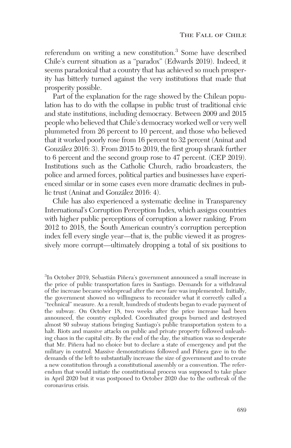referendum on writing a new constitution.<sup>3</sup> Some have described Chile's current situation as a "paradox" (Edwards 2019). Indeed, it seems paradoxical that a country that has achieved so much prosperity has bitterly turned against the very institutions that made that prosperity possible.

Part of the explanation for the rage showed by the Chilean population has to do with the collapse in public trust of traditional civic and state institutions, including democracy. Between 2009 and 2015 people who believed that Chile's democracy worked well or very well plummeted from 26 percent to 10 percent, and those who believed that it worked poorly rose from 16 percent to 32 percent (Aninat and González 2016: 3). From 2015 to 2019, the first group shrank further to 6 percent and the second group rose to 47 percent. (CEP 2019). Institutions such as the Catholic Church, radio broadcasters, the police and armed forces, political parties and businesses have experienced similar or in some cases even more dramatic declines in public trust (Aninat and González 2016: 4).

Chile has also experienced a systematic decline in Transparency International's Corruption Perception Index, which assigns countries with higher public perceptions of corruption a lower ranking. From 2012 to 2018, the South American country's corruption perception index fell every single year—that is, the public viewed it as progressively more corrupt—ultimately dropping a total of six positions to

<sup>3</sup> In October 2019, Sebastián Piñera's government announced a small increase in the price of public transportation fares in Santiago. Demands for a withdrawal of the increase became widespread after the new fare was implemented. Initially, the government showed no willingness to reconsider what it correctly called a "technical" measure. As a result, hundreds of students began to evade payment of the subway. On October 18, two weeks after the price increase had been announced, the country exploded. Coordinated groups burned and destroyed almost 80 subway stations bringing Santiago's public transportation system to a halt. Riots and massive attacks on public and private property followed unleashing chaos in the capital city. By the end of the day, the situation was so desperate that Mr. Piñera had no choice but to declare a state of emergency and put the military in control. Massive demonstrations followed and Piñera gave in to the demands of the left to substantially increase the size of government and to create a new constitution through a constitutional assembly or a convention. The referendum that would initiate the constitutional process was supposed to take place in April 2020 but it was postponed to October 2020 due to the outbreak of the coronavirus crisis.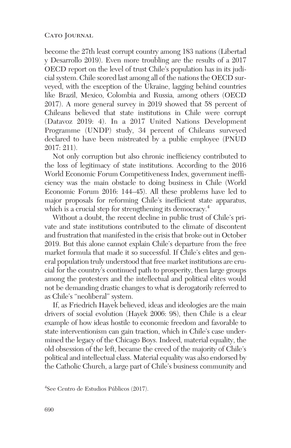become the 27th least corrupt country among 183 nations (Libertad y Desarrollo 2019). Even more troubling are the results of a 2017 OECD report on the level of trust Chile's population has in its judicial system. Chile scored last among all of the nations the OECD surveyed, with the exception of the Ukraine, lagging behind countries like Brazil, Mexico, Colombia and Russia, among others (OECD 2017). A more general survey in 2019 showed that 58 percent of Chileans believed that state institutions in Chile were corrupt (Datavoz 2019: 4). In a 2017 United Nations Development Programme (UNDP) study, 34 percent of Chileans surveyed declared to have been mistreated by a public employee (PNUD 2017: 211).

Not only corruption but also chronic inefficiency contributed to the loss of legitimacy of state institutions. According to the 2016 World Economic Forum Competitiveness Index, government inefficiency was the main obstacle to doing business in Chile (World Economic Forum 2016: 144–45). All these problems have led to major proposals for reforming Chile's inefficient state apparatus, which is a crucial step for strengthening its democracy.<sup>4</sup>

Without a doubt, the recent decline in public trust of Chile's private and state institutions contributed to the climate of discontent and frustration that manifested in the crisis that broke out in October 2019. But this alone cannot explain Chile's departure from the free market formula that made it so successful. If Chile's elites and general population truly understood that free market institutions are crucial for the country's continued path to prosperity, then large groups among the protesters and the intellectual and political elites would not be demanding drastic changes to what is derogatorily referred to as Chile's "neoliberal" system.

If, as Friedrich Hayek believed, ideas and ideologies are the main drivers of social evolution (Hayek 2006: 98), then Chile is a clear example of how ideas hostile to economic freedom and favorable to state interventionism can gain traction, which in Chile's case undermined the legacy of the Chicago Boys. Indeed, material equality, the old obsession of the left, became the creed of the majority of Chile's political and intellectual class. Material equality was also endorsed by the Catholic Church, a large part of Chile's business community and

<sup>4</sup> See Centro de Estudios Públicos (2017).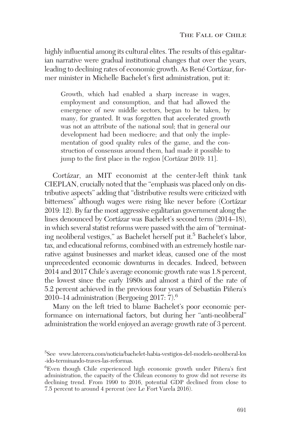highly influential among its cultural elites. The results of this egalitarian narrative were gradual institutional changes that over the years, leading to declining rates of economic growth. As René Cortázar, former minister in Michelle Bachelet's first administration, put it:

Growth, which had enabled a sharp increase in wages, employment and consumption, and that had allowed the emergence of new middle sectors, began to be taken, by many, for granted. It was forgotten that accelerated growth was not an attribute of the national soul; that in general our development had been mediocre; and that only the implementation of good quality rules of the game, and the construction of consensus around them, had made it possible to jump to the first place in the region [Cortázar 2019: 11].

Cortázar, an MIT economist at the center-left think tank CIEPLAN, crucially noted that the "emphasis was placed only on distributive aspects" adding that "distributive results were criticized with bitterness" although wages were rising like never before (Cortázar 2019: 12). By farthe most aggressive egalitarian government along the lines denounced by Cortázar was Bachelet's second term (2014–18), in which several statist reforms were passed with the aim of "terminating neoliberal vestiges," as Bachelet herself put it.<sup>5</sup> Bachelet's labor, tax, and educational reforms, combined with an extremely hostile narrative against businesses and market ideas, caused one of the most unprecedented economic downturns in decades. Indeed, between 2014 and 2017 Chile's average economic growth rate was 1.8 percent, the lowest since the early 1980s and almost a third of the rate of 5.2 percent achieved in the previous four years of Sebastián Piñera's 2010–14 administration (Bergoeing 2017: 7).<sup>6</sup>

Many on the left tried to blame Bachelet's poor economic performance on international factors, but during her "anti-neoliberal" administration the world enjoyed an average growth rate of 3 percent.

<sup>5</sup> See www.latercera.com/noticia/bachelet-habia-vestigios-del-modelo-neoliberal-los -ido-terminando-traves-las-reformas.

<sup>6</sup>Even though Chile experienced high economic growth under Piñera's first administration, the capacity of the Chilean economy to grow did not reverse its declining trend. From 1990 to 2016, potential GDP declined from close to 7.5 percent to around 4 percent (see Le Fort Varela 2016).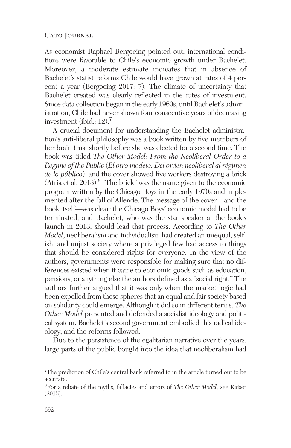As economist Raphael Bergoeing pointed out, international conditions were favorable to Chile's economic growth under Bachelet. Moreover, a moderate estimate indicates that in absence of Bachelet's statist reforms Chile would have grown at rates of 4 percent a year (Bergoeing 2017: 7). The climate of uncertainty that Bachelet created was clearly reflected in the rates of investment. Since data collection began in the early 1960s, until Bachelet's administration, Chile had never shown four consecutive years of decreasing investment (ibid.: 12). 7

A crucial document for understanding the Bachelet administration's anti-liberal philosophy was a book written by five members of her brain trust shortly before she was elected for a second time. The book was titled *The Other Model: From the Neoliberal Order to a Regime of the Public* (*El otro modelo. Del orden neoliberal al régimen de lo público*), and the cover showed five workers destroying a brick (Atria et al. 2013). 8 "The brick" was the name given to the economic program written by the Chicago Boys in the early 1970s and implemented after the fall of Allende. The message of the cover—and the book itself—was clear: the Chicago Boys' economic model had to be terminated, and Bachelet, who was the star speaker at the book's launch in 2013, should lead that process. According to *The Other Model*, neoliberalism and individualism had created an unequal, selfish, and unjust society where a privileged few had access to things that should be considered rights for everyone. In the view of the authors, governments were responsible for making sure that no differences existed when it came to economic goods such as education, pensions, or anything else the authors defined as a "social right." The authors further argued that it was only when the market logic had been expelled from these spheres that an equal and fair society based on solidarity could emerge. Although it did so in different terms, *The Other Model* presented and defended a socialist ideology and political system. Bachelet's second government embodied this radical ideology, and the reforms followed.

Due to the persistence of the egalitarian narrative over the years, large parts of the public bought into the idea that neoliberalism had

<sup>7</sup>The prediction of Chile's central bank referred to in the article turned out to be accurate.

<sup>8</sup>For a rebate of the myths, fallacies and errors of *The Other Model*, see Kaiser (2015).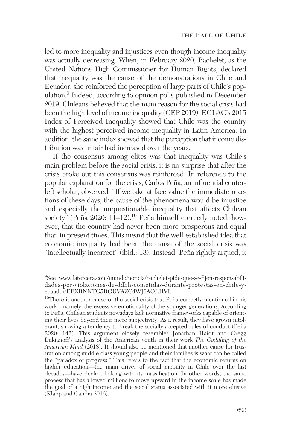led to more inequality and injustices even though income inequality was actually decreasing. When, in February 2020, Bachelet, as the United Nations High Commissioner for Human Rights, declared that inequality was the cause of the demonstrations in Chile and Ecuador, she reinforced the perception of large parts of Chile's population.<sup>9</sup> Indeed, according to opinion polls published in December 2019, Chileans believed that the main reason for the social crisis had been the high level of income inequality (CEP 2019). ECLAC's 2015 Index of Perceived Inequality showed that Chile was the country with the highest perceived income inequality in Latin America. In addition, the same index showed that the perception that income distribution was unfair had increased over the years.

If the consensus among elites was that inequality was Chile's main problem before the social crisis, it is no surprise that after the crisis broke out this consensus was reinforced. In reference to the popular explanation for the crisis, Carlos Peña, an influential centerleft scholar, observed: "If we take at face value the immediate reactions of these days, the cause of the phenomena would be injustice and especially the unquestionable inequality that affects Chilean society<sup>"</sup> (Peña 2020: 11–12).<sup>10</sup> Peña himself correctly noted, however, that the country had never been more prosperous and equal than in present times. This meant that the well-established idea that economic inequality had been the cause of the social crisis was "intellectually incorrect" (ibid.: 13). Instead, Peña rightly argued, it

<sup>9</sup> See www.latercera.com/mundo/noticia/bachelet-pide-que-se-fijen-responsabilidades-por-violaciones-de-ddhh-cometidas-durante-protestas-en-chile-yecuador/EFXRNNTG5RGUVAZC4WJ6AOLHVI.

<sup>&</sup>lt;sup>10</sup>There is another cause of the social crisis that Peña correctly mentioned in his work—namely, the excessive emotionality of the younger generations. According to Peña, Chilean students nowadays lack normative frameworks capable of orienting their lives beyond their mere subjectivity. As a result, they have grown intolerant, showing a tendency to break the socially accepted rules of conduct (Peña 2020: 142). This argument closely resembles Jonathan Haidt and Gregg Lukianoff's analysis of the American youth in their work *The Coddling of the American Mind* (2018). It should also be mentioned that another cause for frustration among middle class young people and their families is what can be called the "paradox of progress." This refers to the fact that the economic returns on higher education—the main driver of social mobility in Chile over the last decades—have declined along with its massification. In other words, the same process that has allowed millions to move upward in the income scale has made the goal of a high income and the social status associated with it more elusive (Klapp and Candia 2016).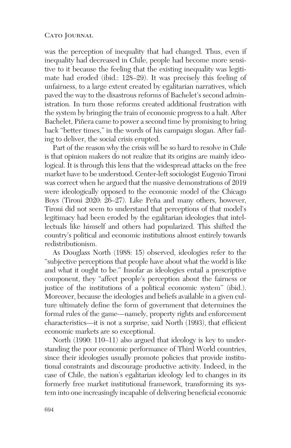was the perception of inequality that had changed. Thus, even if inequality had decreased in Chile, people had become more sensitive to it because the feeling that the existing inequality was legitimate had eroded (ibid.: 128–29). It was precisely this feeling of unfairness, to a large extent created by egalitarian narratives, which paved the way to the disastrous reforms of Bachelet's second administration. In turn those reforms created additional frustration with the system by bringing the train of economic progress to a halt. After Bachelet, Piñera came to power a second time by promising to bring back "better times," in the words of his campaign slogan. After failing to deliver, the social crisis erupted.

Part of the reason why the crisis will be so hard to resolve in Chile is that opinion makers do not realize that its origins are mainly ideological. It is through this lens that the widespread attacks on the free market have to be understood. Center-left sociologist Eugenio Tironi was correct when he argued that the massive demonstrations of 2019 were ideologically opposed to the economic model of the Chicago Boys (Tironi 2020: 26–27). Like Peña and many others, however, Tironi did not seem to understand that perceptions of that model's legitimacy had been eroded by the egalitarian ideologies that intellectuals like himself and others had popularized. This shifted the country's political and economic institutions almost entirely towards redistributionism.

As Douglass North (1988: 15) observed, ideologies refer to the "subjective perceptions that people have about what the world is like and what it ought to be." Insofar as ideologies entail a prescriptive component, they "affect people's perception about the fairness or justice of the institutions of a political economic system" (ibid.). Moreover, because the ideologies and beliefs available in a given culture ultimately define the form of government that determines the formal rules of the game—namely, property rights and enforcement characteristics—it is not a surprise, said North (1993), that efficient economic markets are so exceptional.

North (1990: 110–11) also argued that ideology is key to understanding the poor economic performance of Third World countries, since their ideologies usually promote policies that provide institutional constraints and discourage productive activity. Indeed, in the case of Chile, the nation's egalitarian ideology led to changes in its formerly free market institutional framework, transforming its system into one increasingly incapable of delivering beneficial economic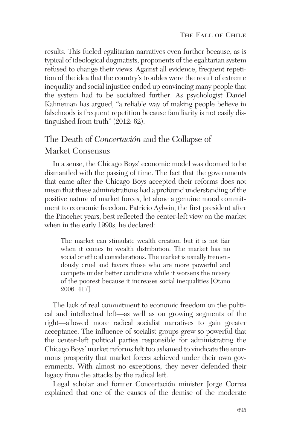results. This fueled egalitarian narratives even further because, as is typical of ideological dogmatists, proponents of the egalitarian system refused to change their views. Against all evidence, frequent repetition of the idea that the country's troubles were the result of extreme inequality and social injustice ended up convincing many people that the system had to be socialized further. As psychologist Daniel Kahneman has argued, "a reliable way of making people believe in falsehoods is frequent repetition because familiarity is not easily distinguished from truth" (2012: 62).

## The Death of *Concertación* and the Collapse of Market Consensus

In a sense, the Chicago Boys' economic model was doomed to be dismantled with the passing of time. The fact that the governments that came after the Chicago Boys accepted their reforms does not mean that these administrations had a profound understanding of the positive nature of market forces, let alone a genuine moral commitment to economic freedom. Patricio Aylwin, the first president after the Pinochet years, best reflected the center-left view on the market when in the early 1990s, he declared:

The market can stimulate wealth creation but it is not fair when it comes to wealth distribution. The market has no social or ethical considerations. The market is usually tremendously cruel and favors those who are more powerful and compete under better conditions while it worsens the misery of the poorest because it increases social inequalities [Otano 2006: 417].

The lack of real commitment to economic freedom on the political and intellectual left—as well as on growing segments of the right—allowed more radical socialist narratives to gain greater acceptance. The influence of socialist groups grew so powerful that the center-left political parties responsible for administrating the Chicago Boys' market reforms felt too ashamed to vindicate the enormous prosperity that market forces achieved under their own governments. With almost no exceptions, they never defended their legacy from the attacks by the radical left.

Legal scholar and former Concertación minister Jorge Correa explained that one of the causes of the demise of the moderate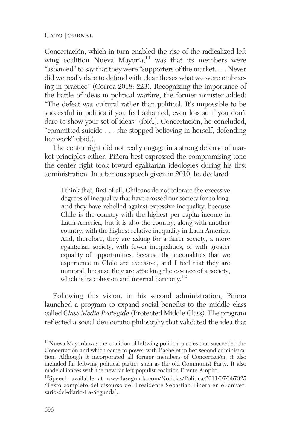Concertación, which in turn enabled the rise of the radicalized left wing coalition Nueva Mayoría, $11$  was that its members were "ashamed" to say that they were "supporters of the market. . . . Never did we really dare to defend with clear theses what we were embracing in practice" (Correa 2018: 223). Recognizing the importance of the battle of ideas in political warfare, the former minister added: "The defeat was cultural rather than political. It's impossible to be successful in politics if you feel ashamed, even less so if you don't dare to show your set of ideas" (ibid.). Concertación, he concluded, "committed suicide . . . she stopped believing in herself, defending her work" (ibid.).

The center right did not really engage in a strong defense of market principles either. Piñera best expressed the compromising tone the center right took toward egalitarian ideologies during his first administration. In a famous speech given in 2010, he declared:

I think that, first of all, Chileans do not tolerate the excessive degrees of inequality that have crossed our society for so long. And they have rebelled against excessive inequality, because Chile is the country with the highest per capita income in Latin America, but it is also the country, along with another country, with the highest relative inequality in Latin America. And, therefore, they are asking for a fairer society, a more egalitarian society, with fewer inequalities, or with greater equality of opportunities, because the inequalities that we experience in Chile are excessive, and I feel that they are immoral, because they are attacking the essence of a society, which is its cohesion and internal harmony.<sup>12</sup>

Following this vision, in his second administration, Piñera launched a program to expand social benefits to the middle class called C*lase Media Protegida* (Protected Middle Class). The program reflected a social democratic philosophy that validated the idea that

<sup>&</sup>lt;sup>11</sup>Nueva Mayoría was the coalition of leftwing political parties that succeeded the Concertación and which came to power with Bachelet in her second administration. Although it incorporated all former members of Concertación, it also included far leftwing political parties such as the old Communist Party. It also made alliances with the new far left populist coalition Frente Amplio.

<sup>12</sup>Speech available at www.lasegunda.com/Noticias/Politica/2011/07/667325 /Texto-completo-del-discurso-del-Presidente-Sebastian-Pinera-en-el-aniversario-del-diario-La-Segunda].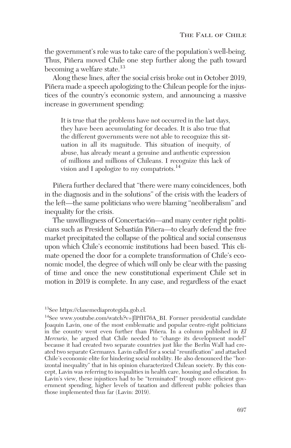the government's role was to take care of the population's well-being. Thus, Piñera moved Chile one step further along the path toward becoming a welfare state. 13

Along these lines, after the social crisis broke out in October 2019, Piñera made a speech apologizing to the Chilean people forthe injustices of the country's economic system, and announcing a massive increase in government spending:

It is true that the problems have not occurred in the last days, they have been accumulating for decades. It is also true that the different governments were not able to recognize this situation in all its magnitude. This situation of inequity, of abuse, has already meant a genuine and authentic expression of millions and millions of Chileans. I recognize this lack of vision and I apologize to my compatriots.<sup>14</sup>

Piñera further declared that "there were many coincidences, both in the diagnosis and in the solutions" of the crisis with the leaders of the left—the same politicians who were blaming "neoliberalism" and inequality for the crisis.

The unwillingness of Concertación—and many center right politicians such as President Sebastián Piñera—to clearly defend the free market precipitated the collapse of the political and social consensus upon which Chile's economic institutions had been based. This climate opened the door for a complete transformation of Chile's economic model, the degree of which will only be clear with the passing of time and once the new constitutional experiment Chile set in motion in 2019 is complete. In any case, and regardless of the exact

<sup>&</sup>lt;sup>13</sup>See https://clasemediaprotegida.gob.cl.

<sup>14</sup>See www.youtube.com/watch?v=JlPfH76A\_BI. Former presidential candidate Joaquin Lavin, one of the most emblematic and popular centre-right politicians in the country went even further than Piñera. In a column published in *El Mercurio*, he argued that Chile needed to "change its development model" because it had created two separate countries just like the Berlin Wall had created two separate Germanys. Lavin called for a social "reunification" and attacked Chile's economic elite for hindering social mobility. He also denounced the "horizontal inequality" that in his opinion characterized Chilean society. By this concept, Lavin was referring to inequalities in health care, housing and education. In Lavin's view, these injustices had to be "terminated" trough more efficient government spending, higher levels of taxation and different public policies than those implemented thus far (Lavin: 2019).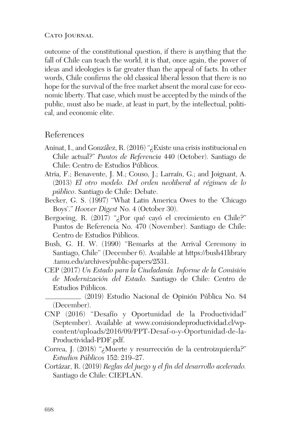outcome of the constitutional question, if there is anything that the fall of Chile can teach the world, it is that, once again, the power of ideas and ideologies is far greater than the appeal of facts. In other words, Chile confirms the old classical liberal lesson that there is no hope for the survival of the free market absent the moral case for economic liberty. That case, which must be accepted by the minds of the public, must also be made, at least in part, by the intellectual, political, and economic elite.

### References

- Aninat,I., and González, R. (2016)"¿Existe una crisis institucional en Chile actual?" *Puntos de Referencia* 440 (October). Santiago de Chile: Centro de Estudios Públicos.
- Atria, F.; Benavente, J. M.; Couso, J.; Larraín, G.; and Joignant, A. (2013) *El otro modelo. Del orden neoliberal al régimen de lo público*. Santiago de Chile: Debate.
- Becker, G. S. (1997) "What Latin America Owes to the 'Chicago Boys'." *Hoover Digest* No. 4 (October 30).
- Bergoeing, R. (2017) "¿Por qué cayó el crecimiento en Chile?" Puntos de Referencia No. 470 (November). Santiago de Chile: Centro de Estudios Públicos.
- Bush, G. H. W. (1990) "Remarks at the Arrival Ceremony in Santiago, Chile" (December 6). Available at https://bush41library .tamu.edu/archives/public-papers/2531.
- CEP (2017) *Un Estado para la Ciudadanía. Informe de la Comisión de Modernización del Estado.* Santiago de Chile: Centro de Estudios Públicos.
- (2019) Estudio Nacional de Opinión Pública No. 84 (December).
- CNP (2016) "Desafío y Oportunidad de la Productividad" (September). Available at www.comisiondeproductividad.cl/wpcontent/uploads/2016/09/PPT-Desaf-o-y-Oportunidad-de-la-Productividad-PDF.pdf.
- Correa, J. (2018) "¿Muerte y resurrección de la centroizquierda?" *Estudios Públicos* 152: 219–27.
- Cortázar, R. (2019) *Reglas del juego y el fin del desarrollo acelerado.* Santiago de Chile: CIEPLAN.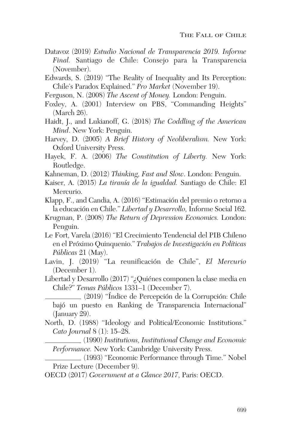- Datavoz (2019) *Estudio Nacional de Transparencia 2019. Informe Final.* Santiago de Chile: Consejo para la Transparencia (November).
- Edwards, S. (2019) "The Reality of Inequality and Its Perception: Chile's Paradox Explained." *Pro Market* (November 19).
- Ferguson, N. (2008) *The Ascent of Money.* London: Penguin.
- Foxley, A. (2001) Interview on PBS, "Commanding Heights" (March 26).
- Haidt, J., and Lukianoff, G. (2018) *The Coddling of the American Mind*. New York: Penguin.
- Harvey, D. (2005) *A Brief History of Neoliberalism.* New York: Oxford University Press.
- Hayek, F. A. (2006) *The Constitution of Liberty.* New York: Routledge.
- Kahneman, D. (2012) *Thinking, Fast and Slow*. London: Penguin.
- Kaiser, A. (2015) *La tiranía de la igualdad.* Santiago de Chile: El Mercurio.
- Klapp, F., and Candia, A. (2016) "Estimación del premio o retorno a la educación en Chile." *Libertad y Desarrollo,* Informe Social 162.
- Krugman, P. (2008) *The Return of Depression Economics.* London: Penguin.
- Le Fort, Varela (2016) "El Crecimiento Tendencial del PIB Chileno en el Próximo Quinquenio." *Trabajos de Investigación en Políticas Públicas* 21 (May).
- Lavin, J. (2019) "La reunificación de Chile", *El Mercurio* (December 1).

Libertad y Desarrollo (2017) "¿Quiénes componen la clase media en Chile?" *Temas Públicos* 1331–1 (December 7).

(2019) "Índice de Percepción de la Corrupción: Chile bajó un puesto en Ranking de Transparencia Internacional" (January 29).

North, D. (1988) "Ideology and Political/Economic Institutions." *Cato Journal* 8 (1): 15–28.

(1990) *Institutions, Institutional Change and Economic Performance.* New York: Cambridge University Press.

(1993) "Economic Performance through Time." Nobel Prize Lecture (December 9).

OECD (2017) *Government at a Glance 2017*, Paris: OECD.